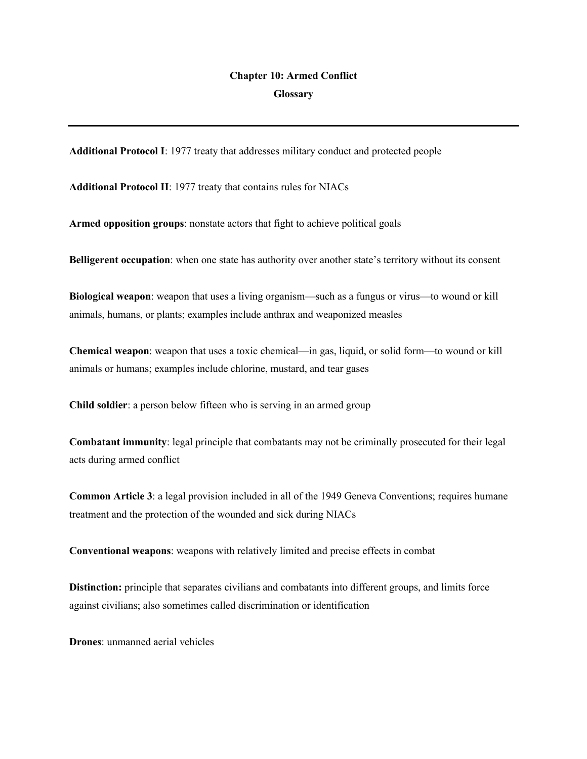## **Chapter 10: Armed Conflict Glossary**

**Additional Protocol I**: 1977 treaty that addresses military conduct and protected people

**Additional Protocol II**: 1977 treaty that contains rules for NIACs

**Armed opposition groups**: nonstate actors that fight to achieve political goals

**Belligerent occupation**: when one state has authority over another state's territory without its consent

**Biological weapon**: weapon that uses a living organism—such as a fungus or virus—to wound or kill animals, humans, or plants; examples include anthrax and weaponized measles

**Chemical weapon**: weapon that uses a toxic chemical—in gas, liquid, or solid form—to wound or kill animals or humans; examples include chlorine, mustard, and tear gases

**Child soldier**: a person below fifteen who is serving in an armed group

**Combatant immunity**: legal principle that combatants may not be criminally prosecuted for their legal acts during armed conflict

**Common Article 3**: a legal provision included in all of the 1949 Geneva Conventions; requires humane treatment and the protection of the wounded and sick during NIACs

**Conventional weapons**: weapons with relatively limited and precise effects in combat

**Distinction:** principle that separates civilians and combatants into different groups, and limits force against civilians; also sometimes called discrimination or identification

**Drones**: unmanned aerial vehicles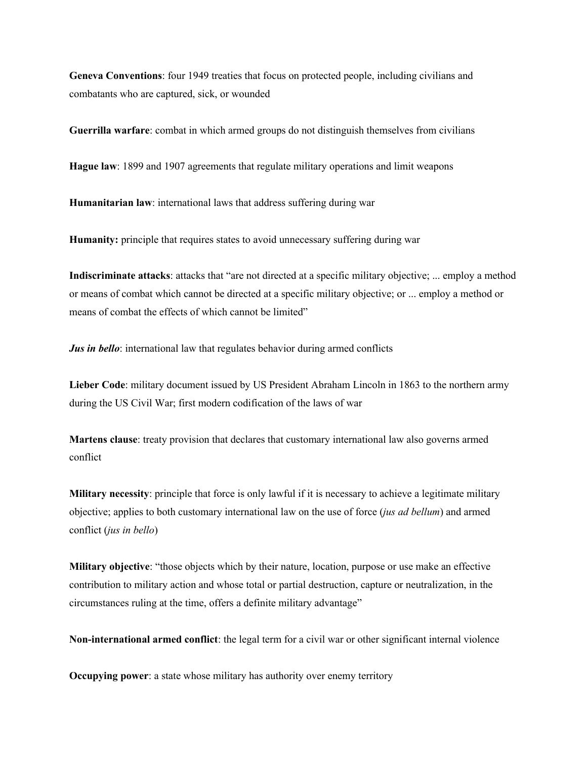**Geneva Conventions**: four 1949 treaties that focus on protected people, including civilians and combatants who are captured, sick, or wounded

**Guerrilla warfare**: combat in which armed groups do not distinguish themselves from civilians

**Hague law**: 1899 and 1907 agreements that regulate military operations and limit weapons

**Humanitarian law**: international laws that address suffering during war

**Humanity:** principle that requires states to avoid unnecessary suffering during war

**Indiscriminate attacks**: attacks that "are not directed at a specific military objective; ... employ a method or means of combat which cannot be directed at a specific military objective; or ... employ a method or means of combat the effects of which cannot be limited"

*Jus in bello*: international law that regulates behavior during armed conflicts

**Lieber Code**: military document issued by US President Abraham Lincoln in 1863 to the northern army during the US Civil War; first modern codification of the laws of war

**Martens clause**: treaty provision that declares that customary international law also governs armed conflict

**Military necessity**: principle that force is only lawful if it is necessary to achieve a legitimate military objective; applies to both customary international law on the use of force (*jus ad bellum*) and armed conflict (*jus in bello*)

**Military objective**: "those objects which by their nature, location, purpose or use make an effective contribution to military action and whose total or partial destruction, capture or neutralization, in the circumstances ruling at the time, offers a definite military advantage"

**Non-international armed conflict**: the legal term for a civil war or other significant internal violence

**Occupying power:** a state whose military has authority over enemy territory